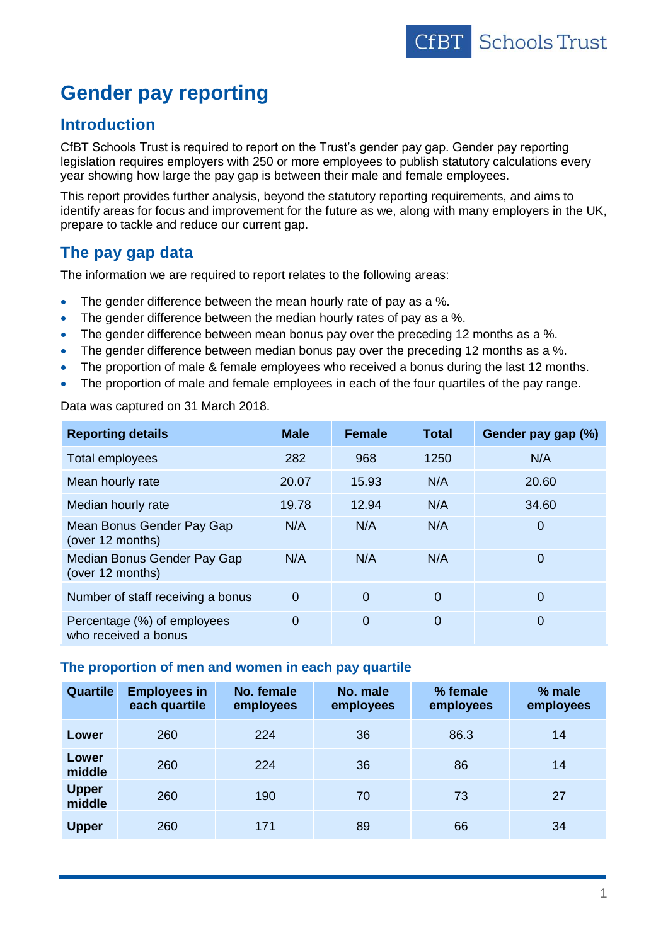

# **Gender pay reporting**

## **Introduction**

CfBT Schools Trust is required to report on the Trust's gender pay gap. Gender pay reporting legislation requires employers with 250 or more employees to publish statutory calculations every year showing how large the pay gap is between their male and female employees.

This report provides further analysis, beyond the statutory reporting requirements, and aims to identify areas for focus and improvement for the future as we, along with many employers in the UK, prepare to tackle and reduce our current gap.

# **The pay gap data**

The information we are required to report relates to the following areas:

- The gender difference between the mean hourly rate of pay as a %.
- The gender difference between the median hourly rates of pay as a %.
- The gender difference between mean bonus pay over the preceding 12 months as a %.
- The gender difference between median bonus pay over the preceding 12 months as a %.
- The proportion of male & female employees who received a bonus during the last 12 months.
- The proportion of male and female employees in each of the four quartiles of the pay range.

Data was captured on 31 March 2018.

| <b>Reporting details</b>                            | <b>Male</b>    | <b>Female</b>  | <b>Total</b>   | Gender pay gap (%) |
|-----------------------------------------------------|----------------|----------------|----------------|--------------------|
| Total employees                                     | 282            | 968            | 1250           | N/A                |
| Mean hourly rate                                    | 20.07          | 15.93          | N/A            | 20.60              |
| Median hourly rate                                  | 19.78          | 12.94          | N/A            | 34.60              |
| Mean Bonus Gender Pay Gap<br>(over 12 months)       | N/A            | N/A            | N/A            | 0                  |
| Median Bonus Gender Pay Gap<br>(over 12 months)     | N/A            | N/A            | N/A            | $\mathbf 0$        |
| Number of staff receiving a bonus                   | $\mathbf 0$    | $\overline{0}$ | $\overline{0}$ | $\Omega$           |
| Percentage (%) of employees<br>who received a bonus | $\overline{0}$ | $\overline{0}$ | $\overline{0}$ | $\mathbf 0$        |

### **The proportion of men and women in each pay quartile**

| <b>Quartile</b>        | <b>Employees in</b><br>each quartile | No. female<br>employees | No. male<br>employees | % female<br>employees | % male<br>employees |
|------------------------|--------------------------------------|-------------------------|-----------------------|-----------------------|---------------------|
| Lower                  | 260                                  | 224                     | 36                    | 86.3                  | 14                  |
| Lower<br>middle        | 260                                  | 224                     | 36                    | 86                    | 14                  |
| <b>Upper</b><br>middle | 260                                  | 190                     | 70                    | 73                    | 27                  |
| <b>Upper</b>           | 260                                  | 171                     | 89                    | 66                    | 34                  |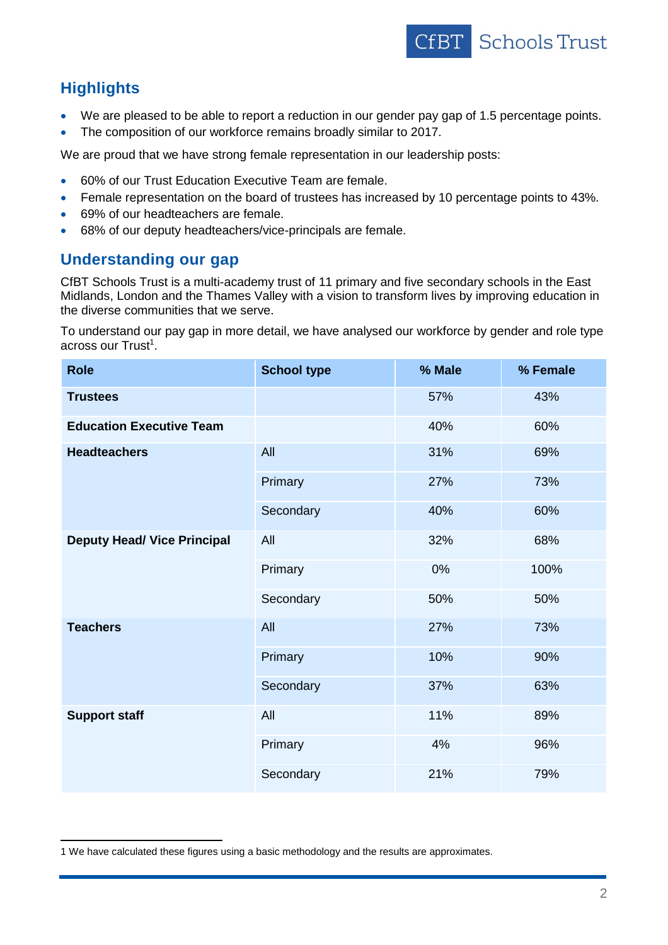

# **Highlights**

 $\overline{a}$ 

- We are pleased to be able to report a reduction in our gender pay gap of 1.5 percentage points.
- The composition of our workforce remains broadly similar to 2017.

We are proud that we have strong female representation in our leadership posts:

- 60% of our Trust Education Executive Team are female.
- Female representation on the board of trustees has increased by 10 percentage points to 43%.
- 69% of our headteachers are female.
- 68% of our deputy headteachers/vice-principals are female.

# **Understanding our gap**

CfBT Schools Trust is a multi-academy trust of 11 primary and five secondary schools in the East Midlands, London and the Thames Valley with a vision to transform lives by improving education in the diverse communities that we serve.

To understand our pay gap in more detail, we have analysed our workforce by gender and role type across our Trust<sup>1</sup>.

| <b>Role</b>                        | <b>School type</b> | % Male | % Female |
|------------------------------------|--------------------|--------|----------|
| <b>Trustees</b>                    |                    | 57%    | 43%      |
| <b>Education Executive Team</b>    |                    | 40%    | 60%      |
| <b>Headteachers</b>                | All                | 31%    | 69%      |
|                                    | Primary            | 27%    | 73%      |
|                                    | Secondary          | 40%    | 60%      |
| <b>Deputy Head/ Vice Principal</b> | All                | 32%    | 68%      |
|                                    | Primary            | 0%     | 100%     |
|                                    | Secondary          | 50%    | 50%      |
| <b>Teachers</b>                    | All                | 27%    | 73%      |
|                                    | Primary            | 10%    | 90%      |
|                                    | Secondary          | 37%    | 63%      |
| <b>Support staff</b>               | All                | 11%    | 89%      |
|                                    | Primary            | 4%     | 96%      |
|                                    | Secondary          | 21%    | 79%      |

<sup>1</sup> We have calculated these figures using a basic methodology and the results are approximates.